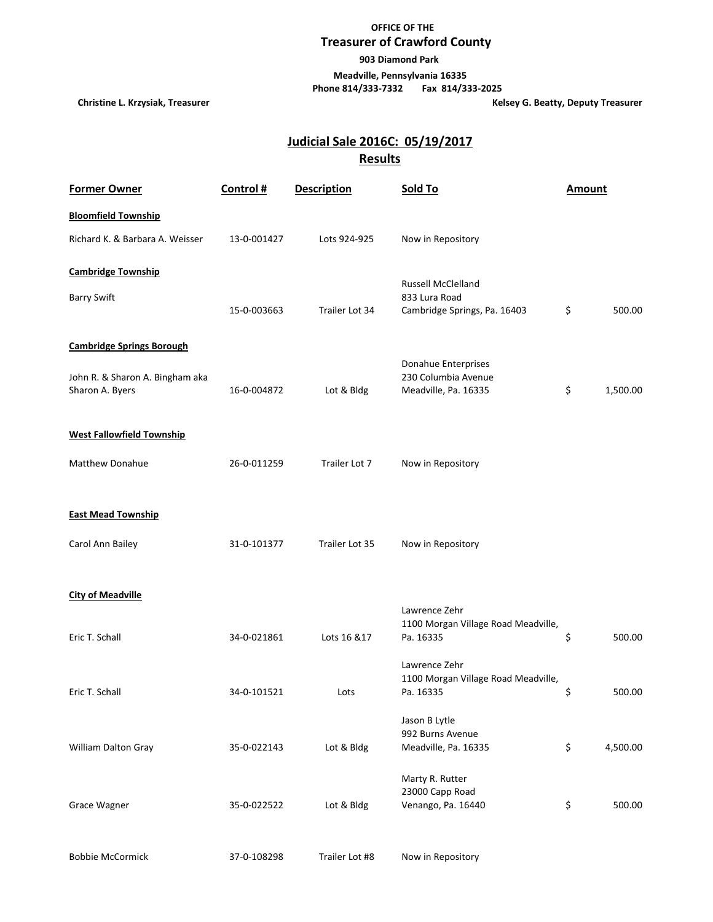## **OFFICE OF THE Treasurer of Crawford County**

 **903 Diamond Park**

 **Meadville, Pennsylvania 16335**

 **Phone 814/333-7332 Fax 814/333-2025**

**Christine L. Krzysiak, Treasurer Christian Exercise 2 and 2 and 2 and 2 and 2 and 2 and 2 and 2 and 2 and 2 and 2 and 2 and 2 and 2 and 2 and 2 and 2 and 2 and 2 and 2 and 2 and 2 and 2 and 2 and 2 and 2 and 2 and 2 and 2** 

## **Results Judicial Sale 2016C: 05/19/2017**

| <b>Former Owner</b>              | Control#    | <b>Description</b> | Sold To                                          | <b>Amount</b>  |
|----------------------------------|-------------|--------------------|--------------------------------------------------|----------------|
| <b>Bloomfield Township</b>       |             |                    |                                                  |                |
| Richard K. & Barbara A. Weisser  | 13-0-001427 | Lots 924-925       | Now in Repository                                |                |
| <b>Cambridge Township</b>        |             |                    | <b>Russell McClelland</b>                        |                |
| <b>Barry Swift</b>               |             |                    | 833 Lura Road                                    |                |
|                                  | 15-0-003663 | Trailer Lot 34     | Cambridge Springs, Pa. 16403                     | \$<br>500.00   |
| <b>Cambridge Springs Borough</b> |             |                    |                                                  |                |
| John R. & Sharon A. Bingham aka  |             |                    | Donahue Enterprises<br>230 Columbia Avenue       |                |
| Sharon A. Byers                  | 16-0-004872 | Lot & Bldg         | Meadville, Pa. 16335                             | \$<br>1,500.00 |
| <b>West Fallowfield Township</b> |             |                    |                                                  |                |
| <b>Matthew Donahue</b>           |             |                    |                                                  |                |
|                                  | 26-0-011259 | Trailer Lot 7      | Now in Repository                                |                |
| <b>East Mead Township</b>        |             |                    |                                                  |                |
|                                  |             |                    |                                                  |                |
| Carol Ann Bailey                 | 31-0-101377 | Trailer Lot 35     | Now in Repository                                |                |
| <b>City of Meadville</b>         |             |                    |                                                  |                |
|                                  |             |                    | Lawrence Zehr                                    |                |
| Eric T. Schall                   | 34-0-021861 | Lots 16 & 17       | 1100 Morgan Village Road Meadville,<br>Pa. 16335 | \$<br>500.00   |
|                                  |             |                    | Lawrence Zehr                                    |                |
| Eric T. Schall                   | 34-0-101521 | Lots               | 1100 Morgan Village Road Meadville,<br>Pa. 16335 | \$<br>500.00   |
|                                  |             |                    | Jason B Lytle                                    |                |
|                                  |             |                    | 992 Burns Avenue                                 |                |
| William Dalton Gray              | 35-0-022143 | Lot & Bldg         | Meadville, Pa. 16335                             | \$<br>4,500.00 |
|                                  |             |                    | Marty R. Rutter                                  |                |
| Grace Wagner                     | 35-0-022522 | Lot & Bldg         | 23000 Capp Road<br>Venango, Pa. 16440            | \$<br>500.00   |
|                                  |             |                    |                                                  |                |
| <b>Bobbie McCormick</b>          | 37-0-108298 | Trailer Lot #8     | Now in Repository                                |                |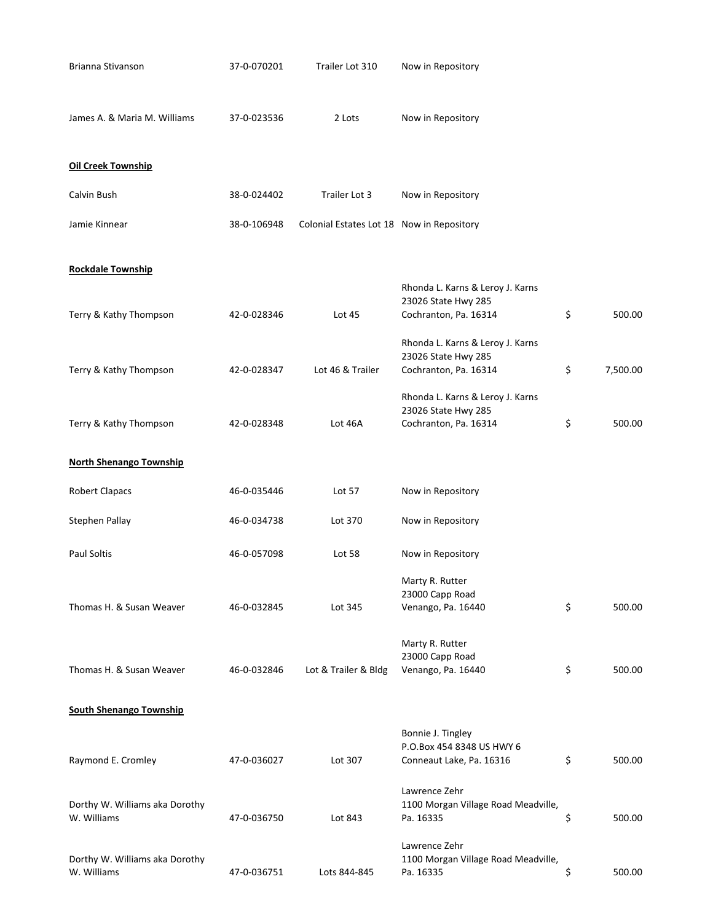| Brianna Stivanson                             | 37-0-070201 | Trailer Lot 310                           | Now in Repository                                                                |                |
|-----------------------------------------------|-------------|-------------------------------------------|----------------------------------------------------------------------------------|----------------|
| James A. & Maria M. Williams                  | 37-0-023536 | 2 Lots                                    | Now in Repository                                                                |                |
| <b>Oil Creek Township</b>                     |             |                                           |                                                                                  |                |
| Calvin Bush                                   | 38-0-024402 | Trailer Lot 3                             | Now in Repository                                                                |                |
| Jamie Kinnear                                 | 38-0-106948 | Colonial Estates Lot 18 Now in Repository |                                                                                  |                |
| <b>Rockdale Township</b>                      |             |                                           |                                                                                  |                |
| Terry & Kathy Thompson                        | 42-0-028346 | Lot 45                                    | Rhonda L. Karns & Leroy J. Karns<br>23026 State Hwy 285<br>Cochranton, Pa. 16314 | \$<br>500.00   |
| Terry & Kathy Thompson                        | 42-0-028347 | Lot 46 & Trailer                          | Rhonda L. Karns & Leroy J. Karns<br>23026 State Hwy 285<br>Cochranton, Pa. 16314 | \$<br>7,500.00 |
| Terry & Kathy Thompson                        | 42-0-028348 | Lot 46A                                   | Rhonda L. Karns & Leroy J. Karns<br>23026 State Hwy 285<br>Cochranton, Pa. 16314 | \$<br>500.00   |
| <b>North Shenango Township</b>                |             |                                           |                                                                                  |                |
| <b>Robert Clapacs</b>                         | 46-0-035446 | Lot 57                                    | Now in Repository                                                                |                |
| Stephen Pallay                                | 46-0-034738 | Lot 370                                   | Now in Repository                                                                |                |
| Paul Soltis                                   | 46-0-057098 | Lot 58                                    | Now in Repository                                                                |                |
| Thomas H. & Susan Weaver                      | 46-0-032845 | Lot 345                                   | Marty R. Rutter<br>23000 Capp Road<br>Venango, Pa. 16440                         | \$<br>500.00   |
| Thomas H. & Susan Weaver                      | 46-0-032846 | Lot & Trailer & Bldg                      | Marty R. Rutter<br>23000 Capp Road<br>Venango, Pa. 16440                         | \$<br>500.00   |
| <b>South Shenango Township</b>                |             |                                           |                                                                                  |                |
| Raymond E. Cromley                            | 47-0-036027 | Lot 307                                   | Bonnie J. Tingley<br>P.O.Box 454 8348 US HWY 6<br>Conneaut Lake, Pa. 16316       | \$<br>500.00   |
| Dorthy W. Williams aka Dorothy<br>W. Williams | 47-0-036750 | Lot 843                                   | Lawrence Zehr<br>1100 Morgan Village Road Meadville,<br>Pa. 16335                | \$<br>500.00   |
| Dorthy W. Williams aka Dorothy<br>W. Williams | 47-0-036751 | Lots 844-845                              | Lawrence Zehr<br>1100 Morgan Village Road Meadville,<br>Pa. 16335                | \$<br>500.00   |